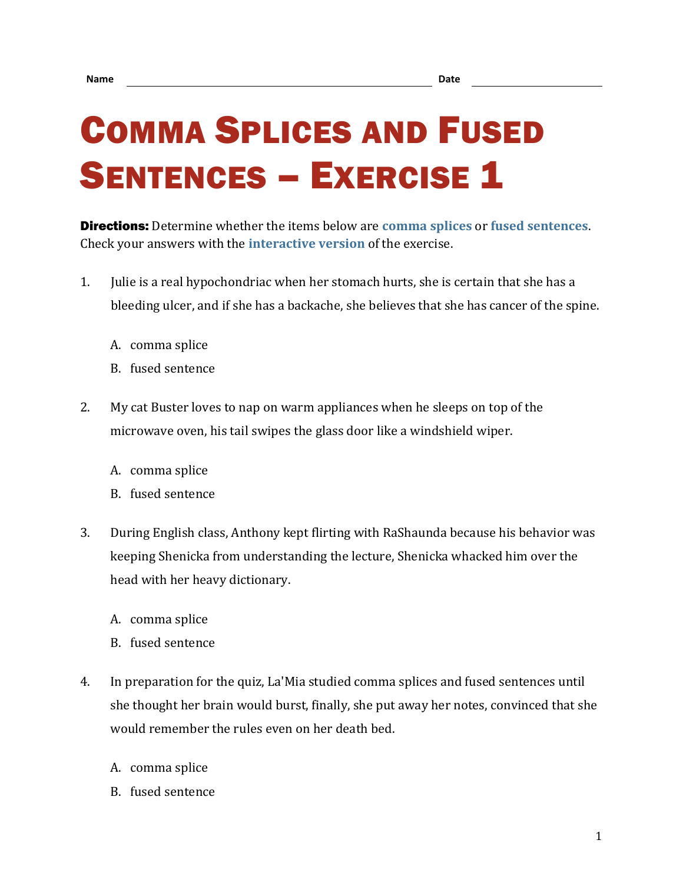## COMMA SPLICES AND FUSED **SENTENCES – EXERCISE 1**

Directions: Determine whether the items below are **[comma splices](https://chompchomp.com/terms/commasplice.htm)** or **[fused sentences](https://chompchomp.com/terms/fusedsentence.htm)**. Check your answers with the **[interactive version](https://chompchomp.com/csfs01/)** of the exercise.

- 1. Julie is a real hypochondriac when her stomach hurts, she is certain that she has a bleeding ulcer, and if she has a backache, she believes that she has cancer of the spine.
	- A. comma splice
	- B. fused sentence
- 2. My cat Buster loves to nap on warm appliances when he sleeps on top of the microwave oven, his tail swipes the glass door like a windshield wiper.
	- A. comma splice
	- B. fused sentence
- 3. During English class, Anthony kept flirting with RaShaunda because his behavior was keeping Shenicka from understanding the lecture, Shenicka whacked him over the head with her heavy dictionary.
	- A. comma splice
	- B. fused sentence
- 4. In preparation for the quiz, La'Mia studied comma splices and fused sentences until she thought her brain would burst, finally, she put away her notes, convinced that she would remember the rules even on her death bed.
	- A. comma splice
	- B. fused sentence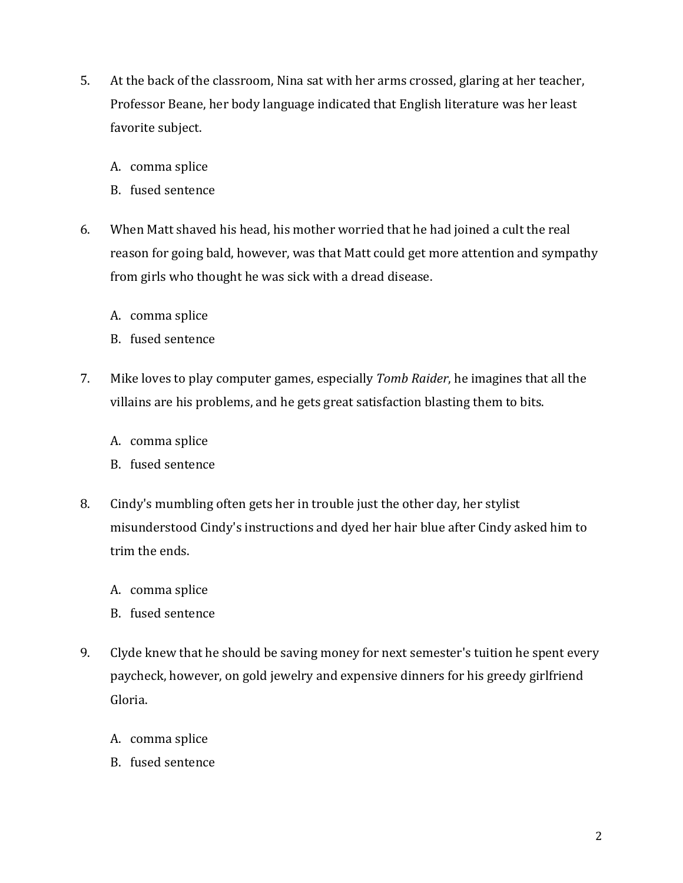- 5. At the back of the classroom, Nina sat with her arms crossed, glaring at her teacher, Professor Beane, her body language indicated that English literature was her least favorite subject.
	- A. comma splice
	- B. fused sentence
- 6. When Matt shaved his head, his mother worried that he had joined a cult the real reason for going bald, however, was that Matt could get more attention and sympathy from girls who thought he was sick with a dread disease.
	- A. comma splice
	- B. fused sentence
- 7. Mike loves to play computer games, especially *Tomb Raider*, he imagines that all the villains are his problems, and he gets great satisfaction blasting them to bits.
	- A. comma splice
	- B. fused sentence
- 8. Cindy's mumbling often gets her in trouble just the other day, her stylist misunderstood Cindy's instructions and dyed her hair blue after Cindy asked him to trim the ends.
	- A. comma splice
	- B. fused sentence
- 9. Clyde knew that he should be saving money for next semester's tuition he spent every paycheck, however, on gold jewelry and expensive dinners for his greedy girlfriend Gloria.
	- A. comma splice
	- B. fused sentence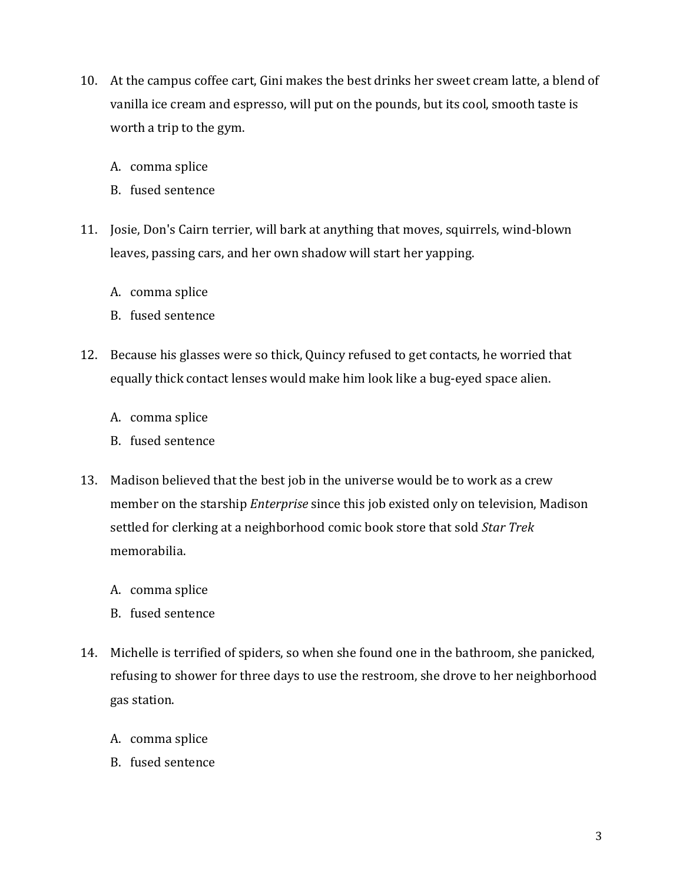- 10. At the campus coffee cart, Gini makes the best drinks her sweet cream latte, a blend of vanilla ice cream and espresso, will put on the pounds, but its cool, smooth taste is worth a trip to the gym.
	- A. comma splice
	- B. fused sentence
- 11. Josie, Don's Cairn terrier, will bark at anything that moves, squirrels, wind-blown leaves, passing cars, and her own shadow will start her yapping.
	- A. comma splice
	- B. fused sentence
- 12. Because his glasses were so thick, Quincy refused to get contacts, he worried that equally thick contact lenses would make him look like a bug-eyed space alien.
	- A. comma splice
	- B. fused sentence
- 13. Madison believed that the best job in the universe would be to work as a crew member on the starship *Enterprise* since this job existed only on television, Madison settled for clerking at a neighborhood comic book store that sold *Star Trek* memorabilia.
	- A. comma splice
	- B. fused sentence
- 14. Michelle is terrified of spiders, so when she found one in the bathroom, she panicked, refusing to shower for three days to use the restroom, she drove to her neighborhood gas station.
	- A. comma splice
	- B. fused sentence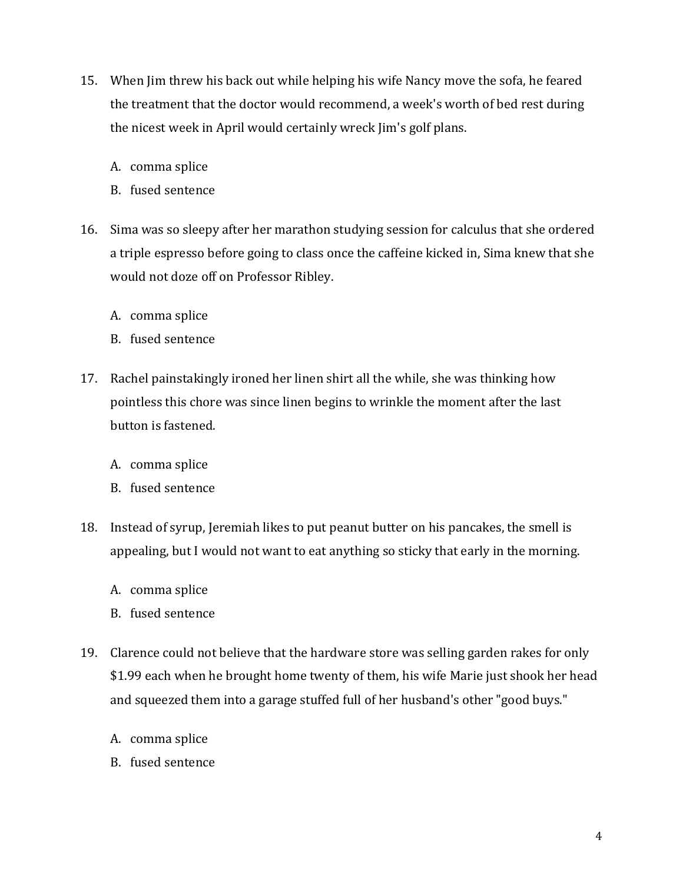- 15. When Jim threw his back out while helping his wife Nancy move the sofa, he feared the treatment that the doctor would recommend, a week's worth of bed rest during the nicest week in April would certainly wreck Jim's golf plans.
	- A. comma splice
	- B. fused sentence
- 16. Sima was so sleepy after her marathon studying session for calculus that she ordered a triple espresso before going to class once the caffeine kicked in, Sima knew that she would not doze off on Professor Ribley.
	- A. comma splice
	- B. fused sentence
- 17. Rachel painstakingly ironed her linen shirt all the while, she was thinking how pointless this chore was since linen begins to wrinkle the moment after the last button is fastened.
	- A. comma splice
	- B. fused sentence
- 18. Instead of syrup, Jeremiah likes to put peanut butter on his pancakes, the smell is appealing, but I would not want to eat anything so sticky that early in the morning.
	- A. comma splice
	- B. fused sentence
- 19. Clarence could not believe that the hardware store was selling garden rakes for only \$1.99 each when he brought home twenty of them, his wife Marie just shook her head and squeezed them into a garage stuffed full of her husband's other "good buys."
	- A. comma splice
	- B. fused sentence